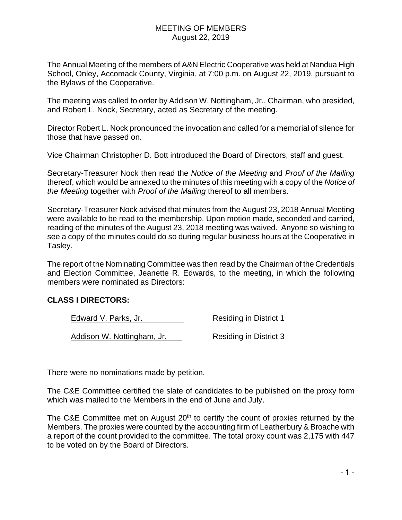The Annual Meeting of the members of A&N Electric Cooperative was held at Nandua High School, Onley, Accomack County, Virginia, at 7:00 p.m. on August 22, 2019, pursuant to the Bylaws of the Cooperative.

The meeting was called to order by Addison W. Nottingham, Jr., Chairman, who presided, and Robert L. Nock, Secretary, acted as Secretary of the meeting.

Director Robert L. Nock pronounced the invocation and called for a memorial of silence for those that have passed on.

Vice Chairman Christopher D. Bott introduced the Board of Directors, staff and guest.

Secretary-Treasurer Nock then read the *Notice of the Meeting* and *Proof of the Mailing* thereof, which would be annexed to the minutes of this meeting with a copy of the *Notice of the Meeting* together with *Proof of the Mailing* thereof to all members.

Secretary-Treasurer Nock advised that minutes from the August 23, 2018 Annual Meeting were available to be read to the membership. Upon motion made, seconded and carried, reading of the minutes of the August 23, 2018 meeting was waived. Anyone so wishing to see a copy of the minutes could do so during regular business hours at the Cooperative in Tasley.

The report of the Nominating Committee was then read by the Chairman of the Credentials and Election Committee, Jeanette R. Edwards, to the meeting, in which the following members were nominated as Directors:

## **CLASS I DIRECTORS:**

Edward V. Parks, Jr. Nesiding in District 1

Addison W. Nottingham, Jr. Residing in District 3

There were no nominations made by petition.

The C&E Committee certified the slate of candidates to be published on the proxy form which was mailed to the Members in the end of June and July.

The C&E Committee met on August  $20<sup>th</sup>$  to certify the count of proxies returned by the Members. The proxies were counted by the accounting firm of Leatherbury & Broache with a report of the count provided to the committee. The total proxy count was 2,175 with 447 to be voted on by the Board of Directors.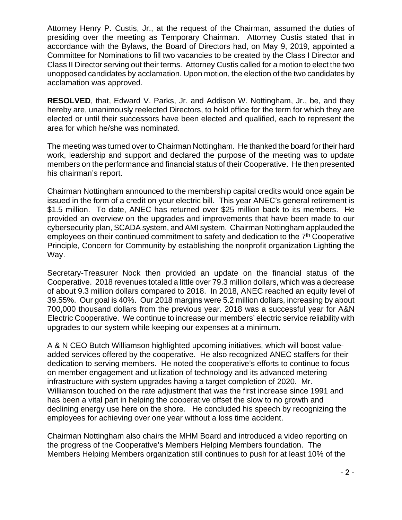Attorney Henry P. Custis, Jr., at the request of the Chairman, assumed the duties of presiding over the meeting as Temporary Chairman. Attorney Custis stated that in accordance with the Bylaws, the Board of Directors had, on May 9, 2019, appointed a Committee for Nominations to fill two vacancies to be created by the Class I Director and Class II Director serving out their terms. Attorney Custis called for a motion to elect the two unopposed candidates by acclamation. Upon motion, the election of the two candidates by acclamation was approved.

**RESOLVED**, that, Edward V. Parks, Jr. and Addison W. Nottingham, Jr., be, and they hereby are, unanimously reelected Directors, to hold office for the term for which they are elected or until their successors have been elected and qualified, each to represent the area for which he/she was nominated.

The meeting was turned over to Chairman Nottingham. He thanked the board for their hard work, leadership and support and declared the purpose of the meeting was to update members on the performance and financial status of their Cooperative. He then presented his chairman's report.

Chairman Nottingham announced to the membership capital credits would once again be issued in the form of a credit on your electric bill. This year ANEC's general retirement is \$1.5 million. To date, ANEC has returned over \$25 million back to its members. He provided an overview on the upgrades and improvements that have been made to our cybersecurity plan, SCADA system, and AMI system. Chairman Nottingham applauded the employees on their continued commitment to safety and dedication to the  $7<sup>th</sup>$  Cooperative Principle, Concern for Community by establishing the nonprofit organization Lighting the Way.

Secretary-Treasurer Nock then provided an update on the financial status of the Cooperative. 2018 revenues totaled a little over 79.3 million dollars, which was a decrease of about 9.3 million dollars compared to 2018. In 2018, ANEC reached an equity level of 39.55%. Our goal is 40%. Our 2018 margins were 5.2 million dollars, increasing by about 700,000 thousand dollars from the previous year. 2018 was a successful year for A&N Electric Cooperative. We continue to increase our members' electric service reliability with upgrades to our system while keeping our expenses at a minimum.

A & N CEO Butch Williamson highlighted upcoming initiatives, which will boost valueadded services offered by the cooperative. He also recognized ANEC staffers for their dedication to serving members. He noted the cooperative's efforts to continue to focus on member engagement and utilization of technology and its advanced metering infrastructure with system upgrades having a target completion of 2020. Mr. Williamson touched on the rate adjustment that was the first increase since 1991 and has been a vital part in helping the cooperative offset the slow to no growth and declining energy use here on the shore. He concluded his speech by recognizing the employees for achieving over one year without a loss time accident.

Chairman Nottingham also chairs the MHM Board and introduced a video reporting on the progress of the Cooperative's Members Helping Members foundation. The Members Helping Members organization still continues to push for at least 10% of the